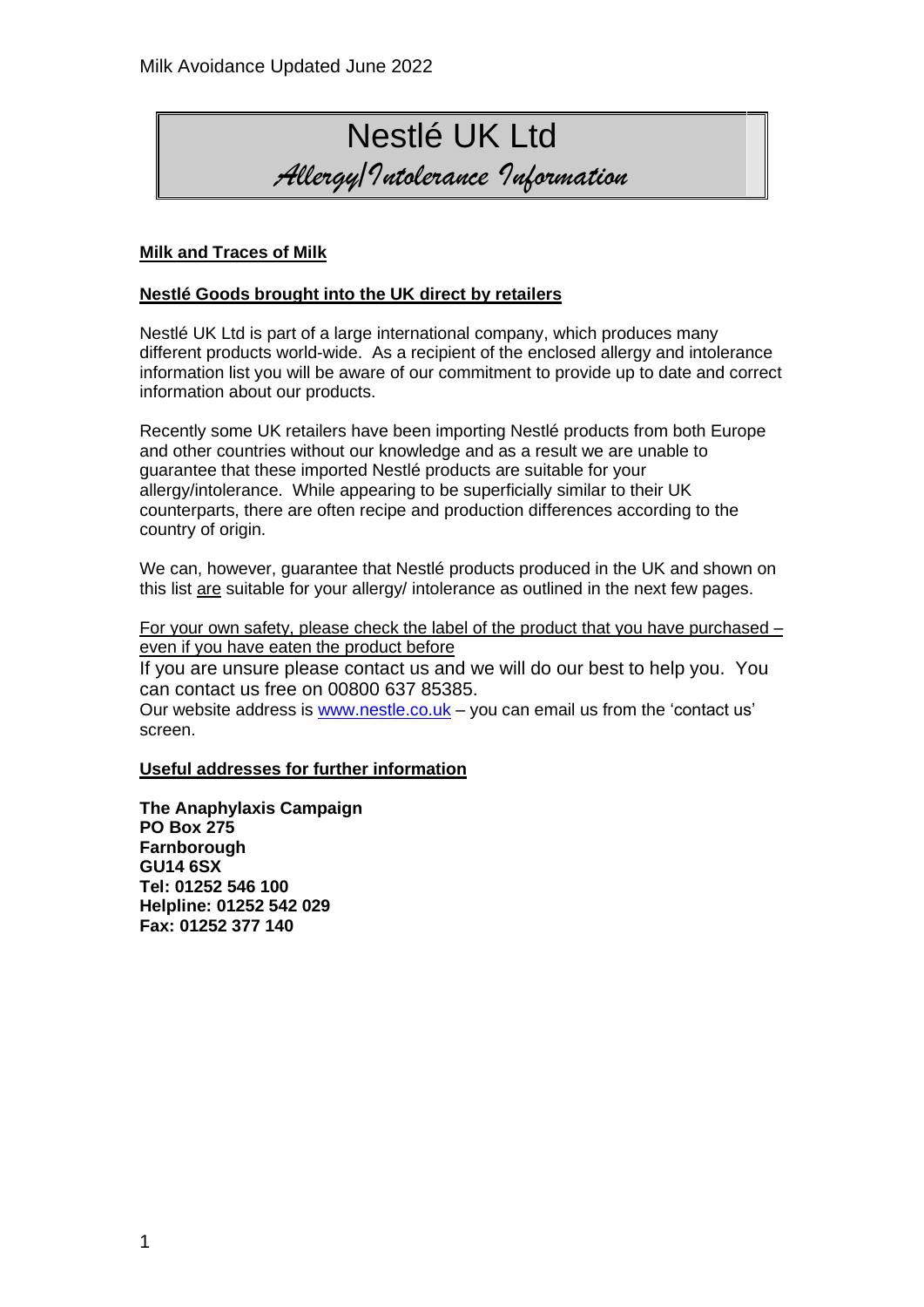# Nestlé UK Ltd *Allergy/Intolerance Information*

### **Milk and Traces of Milk**

#### **Nestlé Goods brought into the UK direct by retailers**

Nestlé UK Ltd is part of a large international company, which produces many different products world-wide. As a recipient of the enclosed allergy and intolerance information list you will be aware of our commitment to provide up to date and correct information about our products.

Recently some UK retailers have been importing Nestlé products from both Europe and other countries without our knowledge and as a result we are unable to guarantee that these imported Nestlé products are suitable for your allergy/intolerance. While appearing to be superficially similar to their UK counterparts, there are often recipe and production differences according to the country of origin.

We can, however, guarantee that Nestlé products produced in the UK and shown on this list are suitable for your allergy/ intolerance as outlined in the next few pages.

For your own safety, please check the label of the product that you have purchased – even if you have eaten the product before

If you are unsure please contact us and we will do our best to help you. You can contact us free on 00800 637 85385.

Our website address is [www.nestle.co.uk](http://www.nestle.co.uk/) – you can email us from the 'contact us' screen.

#### **Useful addresses for further information**

**The Anaphylaxis Campaign PO Box 275 Farnborough GU14 6SX Tel: 01252 546 100 Helpline: 01252 542 029 Fax: 01252 377 140**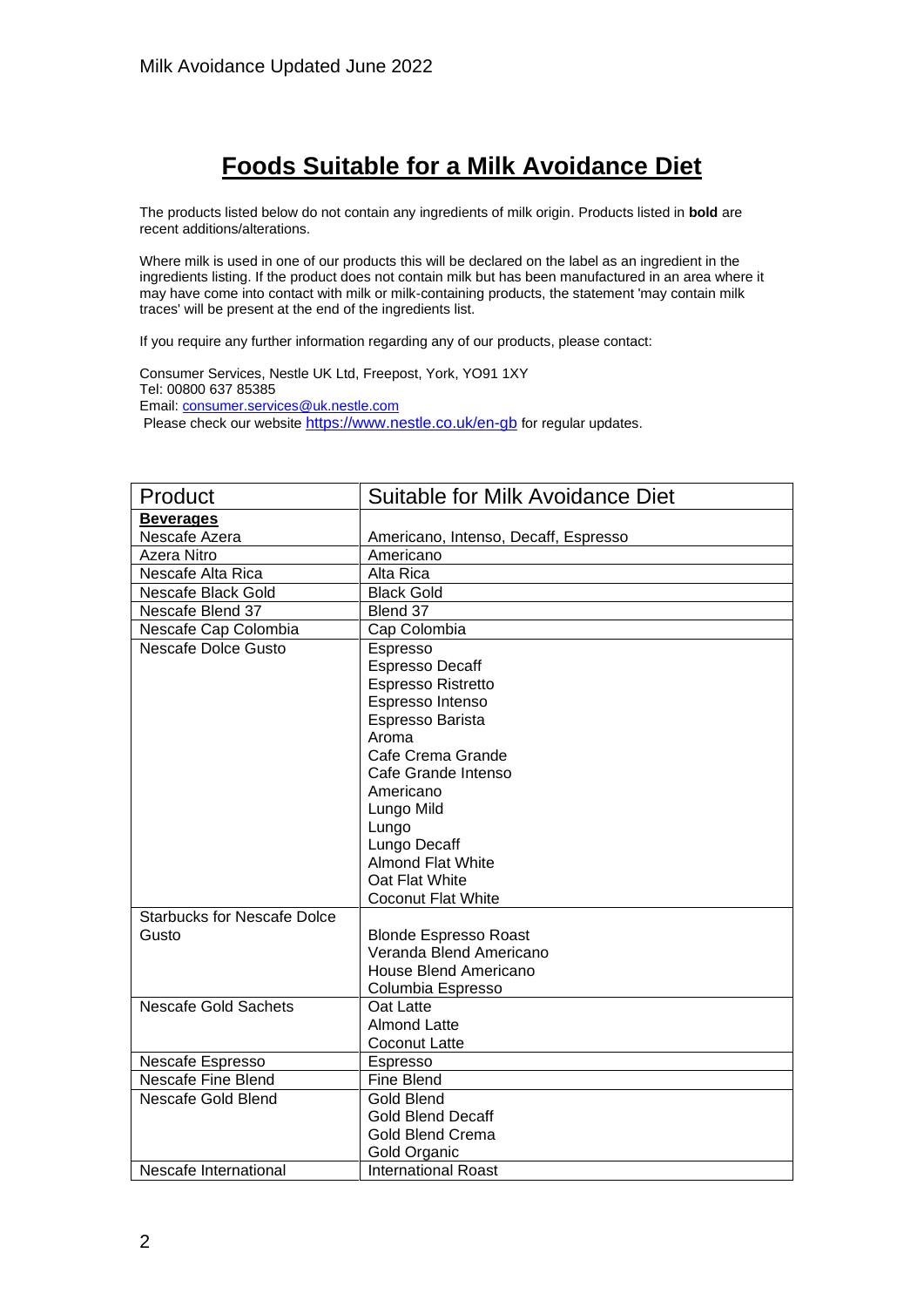## **Foods Suitable for a Milk Avoidance Diet**

The products listed below do not contain any ingredients of milk origin. Products listed in **bold** are recent additions/alterations.

Where milk is used in one of our products this will be declared on the label as an ingredient in the ingredients listing. If the product does not contain milk but has been manufactured in an area where it may have come into contact with milk or milk-containing products, the statement 'may contain milk traces' will be present at the end of the ingredients list.

If you require any further information regarding any of our products, please contact:

Consumer Services, Nestle UK Ltd, Freepost, York, YO91 1XY Tel: 00800 637 85385 Email[: consumer.services@uk.nestle.com](mailto:consumer.services@uk.nestle.com) Please check our website <https://www.nestle.co.uk/en-gb> for regular updates.

| Product                            | <b>Suitable for Milk Avoidance Diet</b> |
|------------------------------------|-----------------------------------------|
| <b>Beverages</b>                   |                                         |
| Nescafe Azera                      | Americano, Intenso, Decaff, Espresso    |
| Azera Nitro                        | Americano                               |
| Nescafe Alta Rica                  | Alta Rica                               |
| Nescafe Black Gold                 | <b>Black Gold</b>                       |
| Nescafe Blend 37                   | Blend 37                                |
| Nescafe Cap Colombia               | Cap Colombia                            |
| Nescafe Dolce Gusto                | Espresso                                |
|                                    | <b>Espresso Decaff</b>                  |
|                                    | <b>Espresso Ristretto</b>               |
|                                    | Espresso Intenso                        |
|                                    | Espresso Barista                        |
|                                    | Aroma                                   |
|                                    | Cafe Crema Grande                       |
|                                    | Cafe Grande Intenso                     |
|                                    | Americano                               |
|                                    | Lungo Mild                              |
|                                    | Lungo                                   |
|                                    | Lungo Decaff                            |
|                                    | <b>Almond Flat White</b>                |
|                                    | Oat Flat White                          |
|                                    | <b>Coconut Flat White</b>               |
| <b>Starbucks for Nescafe Dolce</b> |                                         |
| Gusto                              | <b>Blonde Espresso Roast</b>            |
|                                    | Veranda Blend Americano                 |
|                                    | House Blend Americano                   |
|                                    | Columbia Espresso                       |
| <b>Nescafe Gold Sachets</b>        | Oat Latte                               |
|                                    | <b>Almond Latte</b>                     |
|                                    | Coconut Latte                           |
| Nescafe Espresso                   | Espresso                                |
| Nescafe Fine Blend                 | Fine Blend                              |
| Nescafe Gold Blend                 | Gold Blend                              |
|                                    | <b>Gold Blend Decaff</b>                |
|                                    | <b>Gold Blend Crema</b>                 |
|                                    | Gold Organic                            |
| Nescafe International              | <b>International Roast</b>              |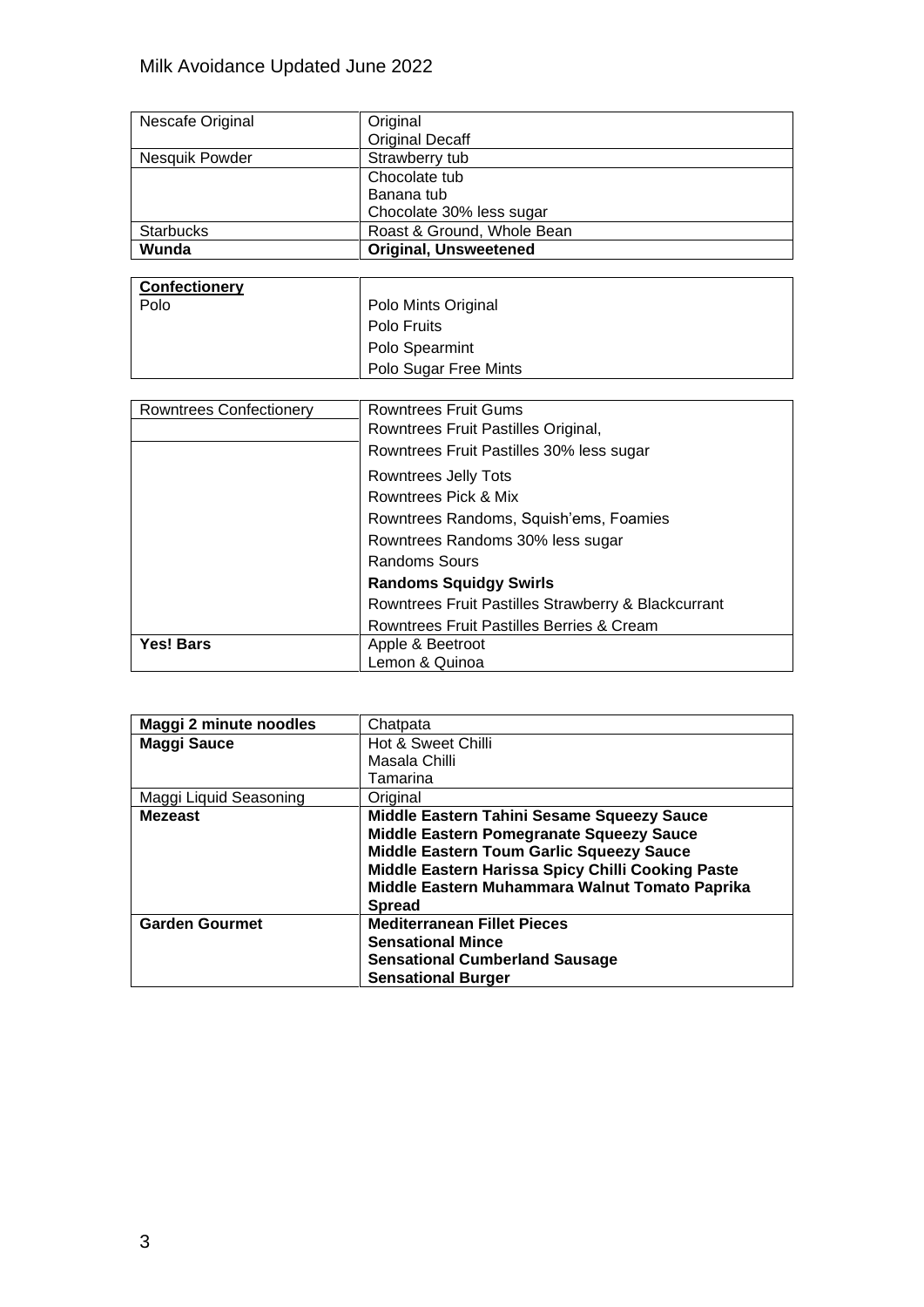| Nescafe Original | Original                     |
|------------------|------------------------------|
|                  | <b>Original Decaff</b>       |
| Nesquik Powder   | Strawberry tub               |
|                  | Chocolate tub                |
|                  | Banana tub                   |
|                  | Chocolate 30% less sugar     |
| <b>Starbucks</b> | Roast & Ground, Whole Bean   |
| Wunda            | <b>Original, Unsweetened</b> |
|                  |                              |

| <b>Confectionery</b> |                       |
|----------------------|-----------------------|
| Polo                 | Polo Mints Original   |
|                      | <b>Polo Fruits</b>    |
|                      | <b>Polo Spearmint</b> |
|                      | Polo Sugar Free Mints |

| <b>Rowntrees Confectionery</b> | <b>Rowntrees Fruit Gums</b>                         |
|--------------------------------|-----------------------------------------------------|
|                                | Rowntrees Fruit Pastilles Original,                 |
|                                | Rowntrees Fruit Pastilles 30% less sugar            |
|                                | Rowntrees Jelly Tots                                |
|                                | Rowntrees Pick & Mix                                |
|                                | Rowntrees Randoms, Squish'ems, Foamies              |
|                                | Rowntrees Randoms 30% less sugar                    |
|                                | Randoms Sours                                       |
|                                | <b>Randoms Squidgy Swirls</b>                       |
|                                | Rowntrees Fruit Pastilles Strawberry & Blackcurrant |
|                                | Rowntrees Fruit Pastilles Berries & Cream           |
| Yes! Bars                      | Apple & Beetroot                                    |
|                                | Lemon & Quinoa                                      |

| Maggi 2 minute noodles | Chatpata                                                                                                                                                                                                                                                   |
|------------------------|------------------------------------------------------------------------------------------------------------------------------------------------------------------------------------------------------------------------------------------------------------|
| <b>Maggi Sauce</b>     | Hot & Sweet Chilli                                                                                                                                                                                                                                         |
|                        | Masala Chilli                                                                                                                                                                                                                                              |
|                        | Tamarina                                                                                                                                                                                                                                                   |
| Maggi Liquid Seasoning | Original                                                                                                                                                                                                                                                   |
| <b>Mezeast</b>         | Middle Eastern Tahini Sesame Squeezy Sauce<br>Middle Eastern Pomegranate Squeezy Sauce<br>Middle Eastern Toum Garlic Squeezy Sauce<br>Middle Eastern Harissa Spicy Chilli Cooking Paste<br>Middle Eastern Muhammara Walnut Tomato Paprika<br><b>Spread</b> |
| <b>Garden Gourmet</b>  | <b>Mediterranean Fillet Pieces</b><br><b>Sensational Mince</b><br><b>Sensational Cumberland Sausage</b><br><b>Sensational Burger</b>                                                                                                                       |